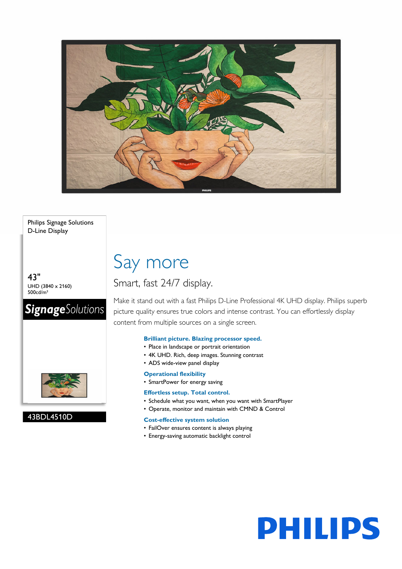

Philips Signage Solutions D-Line Display

43" UHD (3840 x 2160) 500cd/m²

# **SignageSolutions**



# 43BDL4510D

# Say more

# Smart, fast 24/7 display.

Make it stand out with a fast Philips D-Line Professional 4K UHD display. Philips superb picture quality ensures true colors and intense contrast. You can effortlessly display content from multiple sources on a single screen.

# **Brilliant picture. Blazing processor speed.**

- Place in landscape or portrait orientation
- 4K UHD. Rich, deep images. Stunning contrast
- ADS wide-view panel display

# **Operational flexibility**

• SmartPower for energy saving

# **Effortless setup. Total control.**

- Schedule what you want, when you want with SmartPlayer
- Operate, monitor and maintain with CMND & Control

# **Cost-effective system solution**

- FailOver ensures content is always playing
- Energy-saving automatic backlight control

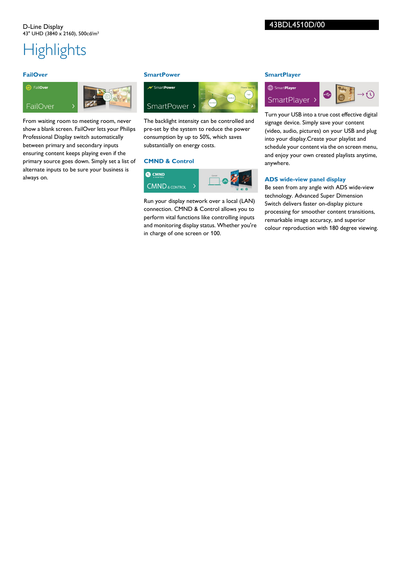# **Highlights**

## **FailOver**

# **a** FailOver FailOver

From waiting room to meeting room, never show a blank screen. FailOver lets your Philips Professional Display switch automatically between primary and secondary inputs ensuring content keeps playing even if the primary source goes down. Simply set a list of alternate inputs to be sure your business is always on.

### **SmartPower**



The backlight intensity can be controlled and pre-set by the system to reduce the power consumption by up to 50%, which saves substantially on energy costs.

## **CMND & Control**



Run your display network over a local (LAN) connection. CMND & Control allows you to perform vital functions like controlling inputs and monitoring display status. Whether you're in charge of one screen or 100.

# **SmartPlayer**



Turn your USB into a true cost effective digital signage device. Simply save your content (video, audio, pictures) on your USB and plug into your display.Create your playlist and schedule your content via the on screen menu, and enjoy your own created playlists anytime, anywhere.

# **ADS wide-view panel display**

Be seen from any angle with ADS wide-view technology. Advanced Super Dimension Switch delivers faster on-display picture processing for smoother content transitions, remarkable image accuracy, and superior colour reproduction with 180 degree viewing.